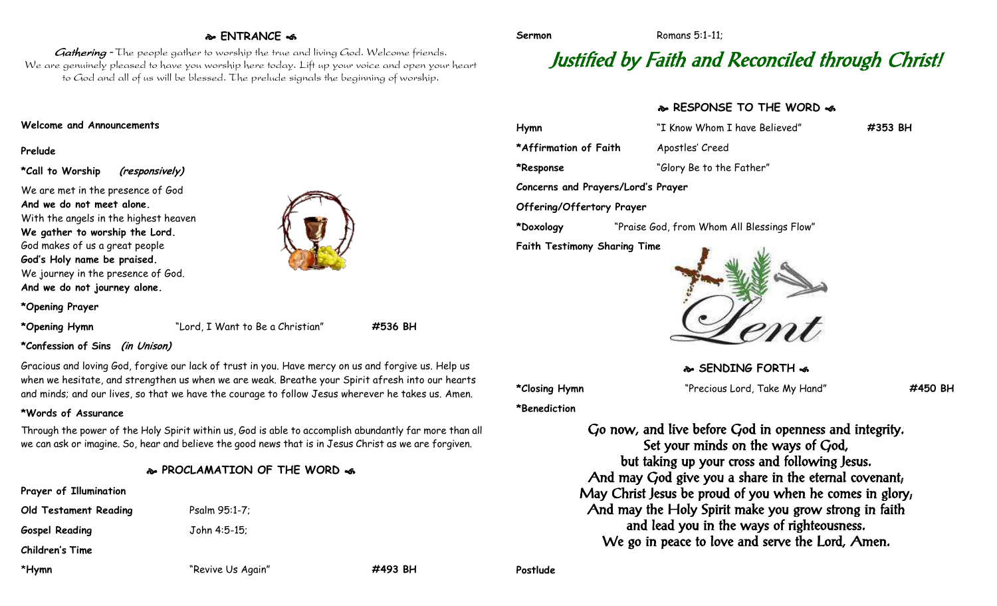# **ENTRANCE**

Gathering - The people gather to worship the true and living God. Welcome friends. We are genuinely pleased to have you worship here today. Lift up your voice and open your heart to God and all of us will be blessed. The prelude signals the beginning of worship.

#### **Welcome and Announcements**

#### **Prelude**

**\*Call to Worship (responsively)**

We are met in the presence of God **And we do not meet alone.** With the angels in the highest heaven **We gather to worship the Lord.** God makes of us a great people **God's Holy name be praised.** We journey in the presence of God. **And we do not journey alone.**

**\*Opening Prayer**

**\*Opening Hymn** "Lord, I Want to Be a Christian" **#536 BH**

#### **\*Confession of Sins (in Unison)**

Gracious and loving God, forgive our lack of trust in you. Have mercy on us and forgive us. Help us when we hesitate, and strengthen us when we are weak. Breathe your Spirit afresh into our hearts and minds; and our lives, so that we have the courage to follow Jesus wherever he takes us. Amen.

## **\*Words of Assurance**

Through the power of the Holy Spirit within us, God is able to accomplish abundantly far more than all we can ask or imagine. So, hear and believe the good news that is in Jesus Christ as we are forgiven.

## **PROCLAMATION OF THE WORD**

| Prayer of Illumination |                   |         |
|------------------------|-------------------|---------|
| Old Testament Reading  | Psalm 95:1-7;     |         |
| <b>Gospel Reading</b>  | John 4:5-15;      |         |
| Children's Time        |                   |         |
| *Hymn                  | "Revive Us Again" | #493 BH |

# Justified by Faith and Reconciled through Christ!

**Sermon** Romans 5:1-11:

# **RESPONSE TO THE WORD**  $\approx$

| Hymn                                | "I Know Whom I have Believed"              | #353 BH |  |
|-------------------------------------|--------------------------------------------|---------|--|
| *Affirmation of Faith               | Apostles' Creed                            |         |  |
| *Response                           | "Glory Be to the Father"                   |         |  |
| Concerns and Prayers/Lord's Prayer  |                                            |         |  |
| Offering/Offertory Prayer           |                                            |         |  |
| *Doxology                           | "Praise God, from Whom All Blessings Flow" |         |  |
| <b>Faith Testimony Sharing Time</b> |                                            |         |  |

Nont

**SENDING FORTH**  $\omega$ 

**\*Benediction**

**\*Closing Hymn** "Precious Lord, Take My Hand" **#450 BH**

Go now, and live before God in openness and integrity. Set your minds on the ways of God, but taking up your cross and following Jesus. And may God give you a share in the eternal covenant; May Christ Jesus be proud of you when he comes in glory; And may the Holy Spirit make you grow strong in faith and lead you in the ways of righteousness. We go in peace to love and serve the Lord, Amen.

**Postlude**